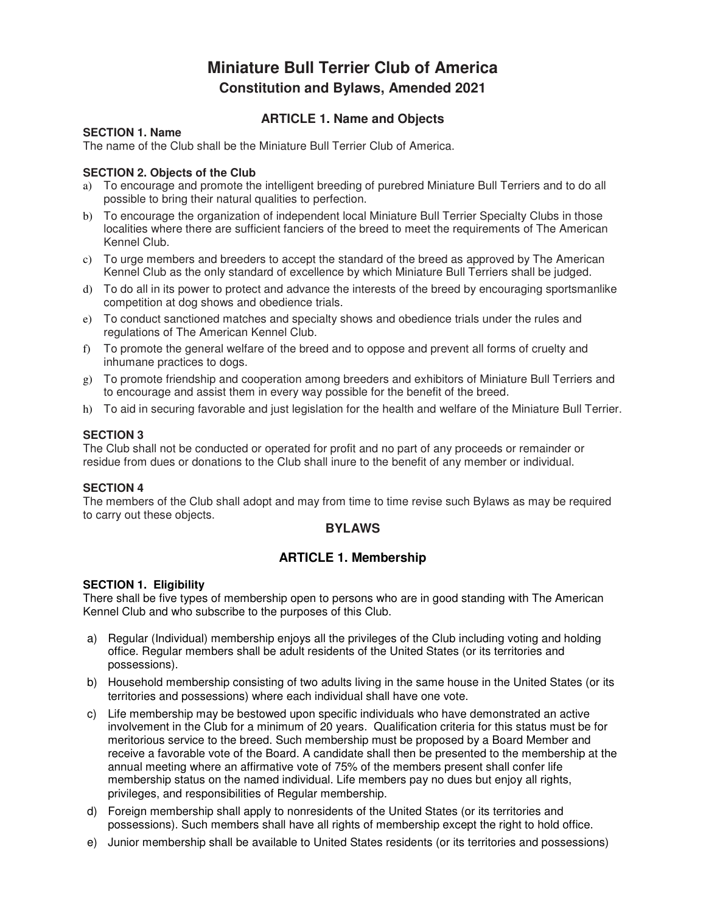# **Miniature Bull Terrier Club of America Constitution and Bylaws, Amended 2021**

### **ARTICLE 1. Name and Objects**

#### **SECTION 1. Name**

The name of the Club shall be the Miniature Bull Terrier Club of America.

#### **SECTION 2. Objects of the Club**

- a) To encourage and promote the intelligent breeding of purebred Miniature Bull Terriers and to do all possible to bring their natural qualities to perfection.
- b) To encourage the organization of independent local Miniature Bull Terrier Specialty Clubs in those localities where there are sufficient fanciers of the breed to meet the requirements of The American Kennel Club.
- c) To urge members and breeders to accept the standard of the breed as approved by The American Kennel Club as the only standard of excellence by which Miniature Bull Terriers shall be judged.
- d) To do all in its power to protect and advance the interests of the breed by encouraging sportsmanlike competition at dog shows and obedience trials.
- e) To conduct sanctioned matches and specialty shows and obedience trials under the rules and regulations of The American Kennel Club.
- f) To promote the general welfare of the breed and to oppose and prevent all forms of cruelty and inhumane practices to dogs.
- g) To promote friendship and cooperation among breeders and exhibitors of Miniature Bull Terriers and to encourage and assist them in every way possible for the benefit of the breed.
- h) To aid in securing favorable and just legislation for the health and welfare of the Miniature Bull Terrier.

#### **SECTION 3**

The Club shall not be conducted or operated for profit and no part of any proceeds or remainder or residue from dues or donations to the Club shall inure to the benefit of any member or individual.

#### **SECTION 4**

The members of the Club shall adopt and may from time to time revise such Bylaws as may be required to carry out these objects.

#### **BYLAWS**

### **ARTICLE 1. Membership**

#### **SECTION 1. Eligibility**

There shall be five types of membership open to persons who are in good standing with The American Kennel Club and who subscribe to the purposes of this Club.

- a) Regular (Individual) membership enjoys all the privileges of the Club including voting and holding office. Regular members shall be adult residents of the United States (or its territories and possessions).
- b) Household membership consisting of two adults living in the same house in the United States (or its territories and possessions) where each individual shall have one vote.
- c) Life membership may be bestowed upon specific individuals who have demonstrated an active involvement in the Club for a minimum of 20 years. Qualification criteria for this status must be for meritorious service to the breed. Such membership must be proposed by a Board Member and receive a favorable vote of the Board. A candidate shall then be presented to the membership at the annual meeting where an affirmative vote of 75% of the members present shall confer life membership status on the named individual. Life members pay no dues but enjoy all rights, privileges, and responsibilities of Regular membership.
- d) Foreign membership shall apply to nonresidents of the United States (or its territories and possessions). Such members shall have all rights of membership except the right to hold office.
- e) Junior membership shall be available to United States residents (or its territories and possessions)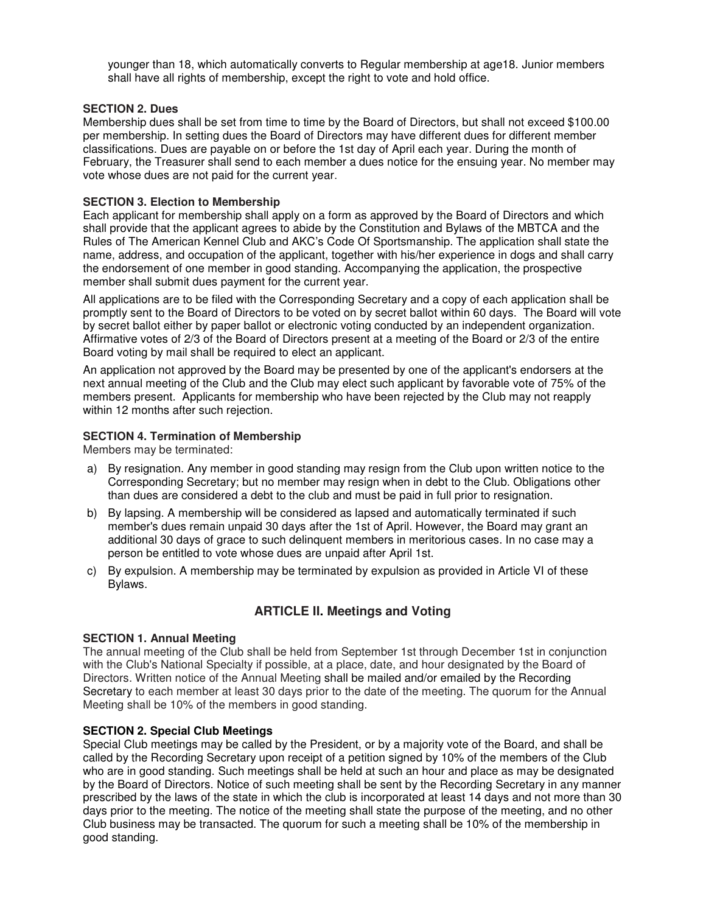younger than 18, which automatically converts to Regular membership at age18. Junior members shall have all rights of membership, except the right to vote and hold office.

#### **SECTION 2. Dues**

Membership dues shall be set from time to time by the Board of Directors, but shall not exceed \$100.00 per membership. In setting dues the Board of Directors may have different dues for different member classifications. Dues are payable on or before the 1st day of April each year. During the month of February, the Treasurer shall send to each member a dues notice for the ensuing year. No member may vote whose dues are not paid for the current year.

#### **SECTION 3. Election to Membership**

Each applicant for membership shall apply on a form as approved by the Board of Directors and which shall provide that the applicant agrees to abide by the Constitution and Bylaws of the MBTCA and the Rules of The American Kennel Club and AKC's Code Of Sportsmanship. The application shall state the name, address, and occupation of the applicant, together with his/her experience in dogs and shall carry the endorsement of one member in good standing. Accompanying the application, the prospective member shall submit dues payment for the current year.

All applications are to be filed with the Corresponding Secretary and a copy of each application shall be promptly sent to the Board of Directors to be voted on by secret ballot within 60 days. The Board will vote by secret ballot either by paper ballot or electronic voting conducted by an independent organization. Affirmative votes of 2/3 of the Board of Directors present at a meeting of the Board or 2/3 of the entire Board voting by mail shall be required to elect an applicant.

An application not approved by the Board may be presented by one of the applicant's endorsers at the next annual meeting of the Club and the Club may elect such applicant by favorable vote of 75% of the members present. Applicants for membership who have been rejected by the Club may not reapply within 12 months after such rejection.

#### **SECTION 4. Termination of Membership**

Members may be terminated:

- a) By resignation. Any member in good standing may resign from the Club upon written notice to the Corresponding Secretary; but no member may resign when in debt to the Club. Obligations other than dues are considered a debt to the club and must be paid in full prior to resignation.
- b) By lapsing. A membership will be considered as lapsed and automatically terminated if such member's dues remain unpaid 30 days after the 1st of April. However, the Board may grant an additional 30 days of grace to such delinquent members in meritorious cases. In no case may a person be entitled to vote whose dues are unpaid after April 1st.
- c) By expulsion. A membership may be terminated by expulsion as provided in Article VI of these Bylaws.

### **ARTICLE II. Meetings and Voting**

#### **SECTION 1. Annual Meeting**

The annual meeting of the Club shall be held from September 1st through December 1st in conjunction with the Club's National Specialty if possible, at a place, date, and hour designated by the Board of Directors. Written notice of the Annual Meeting shall be mailed and/or emailed by the Recording Secretary to each member at least 30 days prior to the date of the meeting. The quorum for the Annual Meeting shall be 10% of the members in good standing.

#### **SECTION 2. Special Club Meetings**

Special Club meetings may be called by the President, or by a majority vote of the Board, and shall be called by the Recording Secretary upon receipt of a petition signed by 10% of the members of the Club who are in good standing. Such meetings shall be held at such an hour and place as may be designated by the Board of Directors. Notice of such meeting shall be sent by the Recording Secretary in any manner prescribed by the laws of the state in which the club is incorporated at least 14 days and not more than 30 days prior to the meeting. The notice of the meeting shall state the purpose of the meeting, and no other Club business may be transacted. The quorum for such a meeting shall be 10% of the membership in good standing.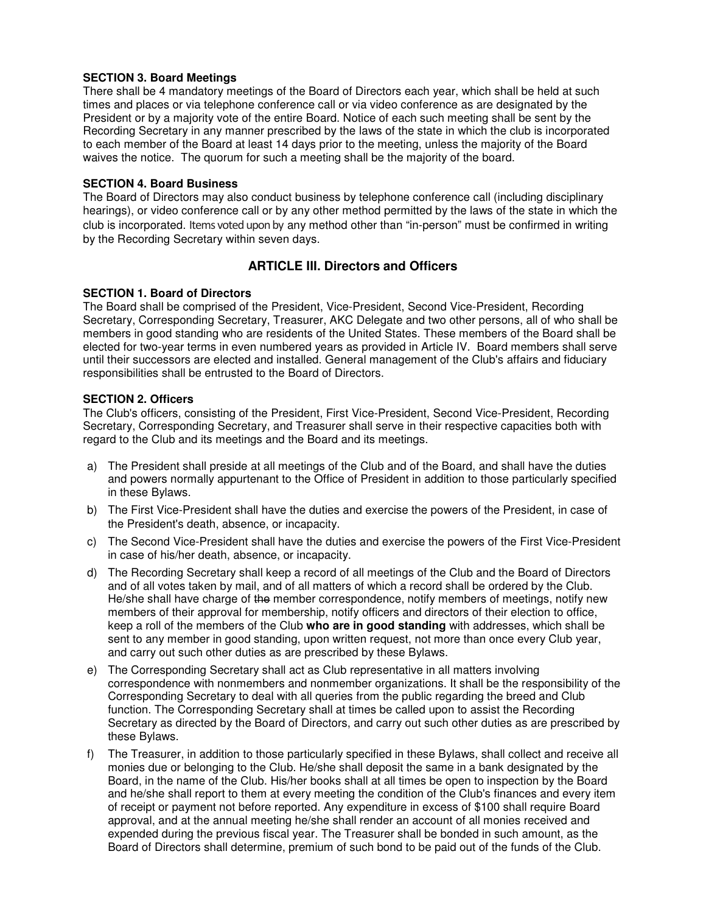#### **SECTION 3. Board Meetings**

There shall be 4 mandatory meetings of the Board of Directors each year, which shall be held at such times and places or via telephone conference call or via video conference as are designated by the President or by a majority vote of the entire Board. Notice of each such meeting shall be sent by the Recording Secretary in any manner prescribed by the laws of the state in which the club is incorporated to each member of the Board at least 14 days prior to the meeting, unless the majority of the Board waives the notice. The quorum for such a meeting shall be the majority of the board.

#### **SECTION 4. Board Business**

The Board of Directors may also conduct business by telephone conference call (including disciplinary hearings), or video conference call or by any other method permitted by the laws of the state in which the club is incorporated. Items voted upon by any method other than "in-person" must be confirmed in writing by the Recording Secretary within seven days.

### **ARTICLE III. Directors and Officers**

#### **SECTION 1. Board of Directors**

The Board shall be comprised of the President, Vice-President, Second Vice-President, Recording Secretary, Corresponding Secretary, Treasurer, AKC Delegate and two other persons, all of who shall be members in good standing who are residents of the United States. These members of the Board shall be elected for two-year terms in even numbered years as provided in Article IV. Board members shall serve until their successors are elected and installed. General management of the Club's affairs and fiduciary responsibilities shall be entrusted to the Board of Directors.

#### **SECTION 2. Officers**

The Club's officers, consisting of the President, First Vice-President, Second Vice-President, Recording Secretary, Corresponding Secretary, and Treasurer shall serve in their respective capacities both with regard to the Club and its meetings and the Board and its meetings.

- a) The President shall preside at all meetings of the Club and of the Board, and shall have the duties and powers normally appurtenant to the Office of President in addition to those particularly specified in these Bylaws.
- b) The First Vice-President shall have the duties and exercise the powers of the President, in case of the President's death, absence, or incapacity.
- c) The Second Vice-President shall have the duties and exercise the powers of the First Vice-President in case of his/her death, absence, or incapacity.
- d) The Recording Secretary shall keep a record of all meetings of the Club and the Board of Directors and of all votes taken by mail, and of all matters of which a record shall be ordered by the Club. He/she shall have charge of the member correspondence, notify members of meetings, notify new members of their approval for membership, notify officers and directors of their election to office, keep a roll of the members of the Club **who are in good standing** with addresses, which shall be sent to any member in good standing, upon written request, not more than once every Club year, and carry out such other duties as are prescribed by these Bylaws.
- e) The Corresponding Secretary shall act as Club representative in all matters involving correspondence with nonmembers and nonmember organizations. It shall be the responsibility of the Corresponding Secretary to deal with all queries from the public regarding the breed and Club function. The Corresponding Secretary shall at times be called upon to assist the Recording Secretary as directed by the Board of Directors, and carry out such other duties as are prescribed by these Bylaws.
- f) The Treasurer, in addition to those particularly specified in these Bylaws, shall collect and receive all monies due or belonging to the Club. He/she shall deposit the same in a bank designated by the Board, in the name of the Club. His/her books shall at all times be open to inspection by the Board and he/she shall report to them at every meeting the condition of the Club's finances and every item of receipt or payment not before reported. Any expenditure in excess of \$100 shall require Board approval, and at the annual meeting he/she shall render an account of all monies received and expended during the previous fiscal year. The Treasurer shall be bonded in such amount, as the Board of Directors shall determine, premium of such bond to be paid out of the funds of the Club.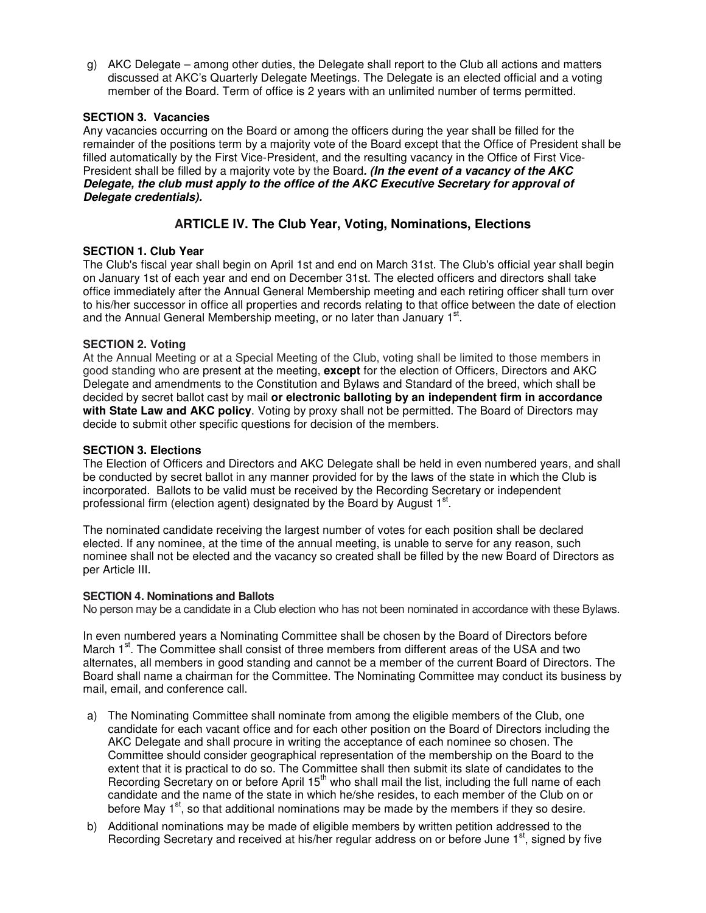g) AKC Delegate – among other duties, the Delegate shall report to the Club all actions and matters discussed at AKC's Quarterly Delegate Meetings. The Delegate is an elected official and a voting member of the Board. Term of office is 2 years with an unlimited number of terms permitted.

#### **SECTION 3. Vacancies**

Any vacancies occurring on the Board or among the officers during the year shall be filled for the remainder of the positions term by a majority vote of the Board except that the Office of President shall be filled automatically by the First Vice-President, and the resulting vacancy in the Office of First Vice-President shall be filled by a majority vote by the Board**. (In the event of a vacancy of the AKC Delegate, the club must apply to the office of the AKC Executive Secretary for approval of Delegate credentials).** 

### **ARTICLE IV. The Club Year, Voting, Nominations, Elections**

#### **SECTION 1. Club Year**

The Club's fiscal year shall begin on April 1st and end on March 31st. The Club's official year shall begin on January 1st of each year and end on December 31st. The elected officers and directors shall take office immediately after the Annual General Membership meeting and each retiring officer shall turn over to his/her successor in office all properties and records relating to that office between the date of election and the Annual General Membership meeting, or no later than January  $1<sup>st</sup>$ .

#### **SECTION 2. Voting**

At the Annual Meeting or at a Special Meeting of the Club, voting shall be limited to those members in good standing who are present at the meeting, **except** for the election of Officers, Directors and AKC Delegate and amendments to the Constitution and Bylaws and Standard of the breed, which shall be decided by secret ballot cast by mail **or electronic balloting by an independent firm in accordance with State Law and AKC policy**. Voting by proxy shall not be permitted. The Board of Directors may decide to submit other specific questions for decision of the members.

#### **SECTION 3. Elections**

The Election of Officers and Directors and AKC Delegate shall be held in even numbered years, and shall be conducted by secret ballot in any manner provided for by the laws of the state in which the Club is incorporated. Ballots to be valid must be received by the Recording Secretary or independent professional firm (election agent) designated by the Board by August  $1<sup>st</sup>$ .

The nominated candidate receiving the largest number of votes for each position shall be declared elected. If any nominee, at the time of the annual meeting, is unable to serve for any reason, such nominee shall not be elected and the vacancy so created shall be filled by the new Board of Directors as per Article III.

#### **SECTION 4. Nominations and Ballots**

No person may be a candidate in a Club election who has not been nominated in accordance with these Bylaws.

In even numbered years a Nominating Committee shall be chosen by the Board of Directors before March  $1<sup>st</sup>$ . The Committee shall consist of three members from different areas of the USA and two alternates, all members in good standing and cannot be a member of the current Board of Directors. The Board shall name a chairman for the Committee. The Nominating Committee may conduct its business by mail, email, and conference call.

- a) The Nominating Committee shall nominate from among the eligible members of the Club, one candidate for each vacant office and for each other position on the Board of Directors including the AKC Delegate and shall procure in writing the acceptance of each nominee so chosen. The Committee should consider geographical representation of the membership on the Board to the extent that it is practical to do so. The Committee shall then submit its slate of candidates to the Recording Secretary on or before April 15<sup>th</sup> who shall mail the list, including the full name of each candidate and the name of the state in which he/she resides, to each member of the Club on or before May  $1^{st}$ , so that additional nominations may be made by the members if they so desire.
- b) Additional nominations may be made of eligible members by written petition addressed to the Recording Secretary and received at his/her regular address on or before June 1<sup>st</sup>, signed by five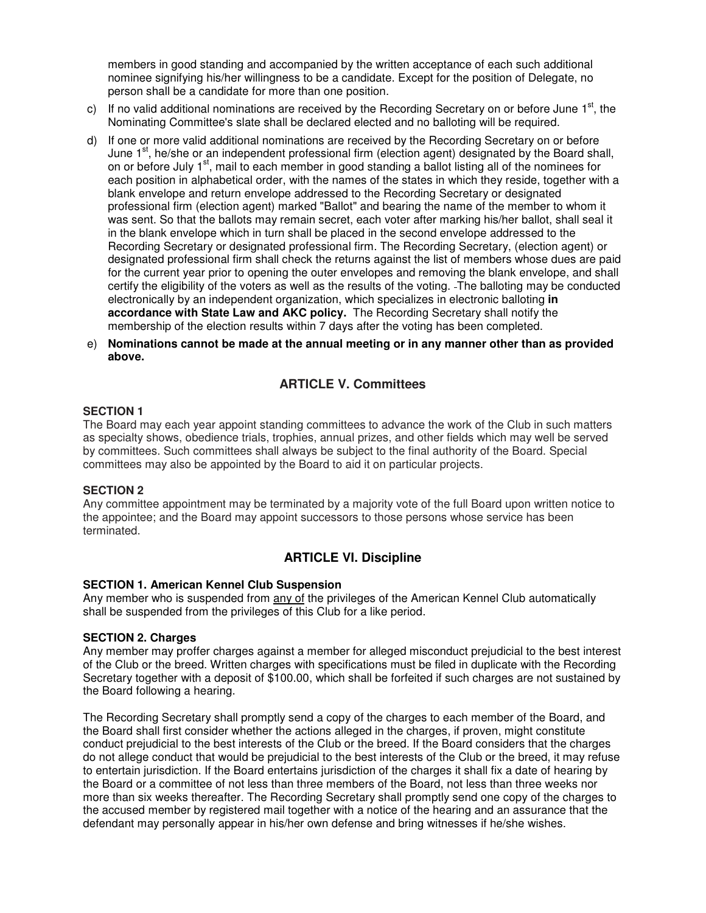members in good standing and accompanied by the written acceptance of each such additional nominee signifying his/her willingness to be a candidate. Except for the position of Delegate, no person shall be a candidate for more than one position.

- c) If no valid additional nominations are received by the Recording Secretary on or before June  $1<sup>st</sup>$ , the Nominating Committee's slate shall be declared elected and no balloting will be required.
- d) If one or more valid additional nominations are received by the Recording Secretary on or before June  $1<sup>st</sup>$ , he/she or an independent professional firm (election agent) designated by the Board shall, on or before July 1<sup>st</sup>, mail to each member in good standing a ballot listing all of the nominees for each position in alphabetical order, with the names of the states in which they reside, together with a blank envelope and return envelope addressed to the Recording Secretary or designated professional firm (election agent) marked "Ballot" and bearing the name of the member to whom it was sent. So that the ballots may remain secret, each voter after marking his/her ballot, shall seal it in the blank envelope which in turn shall be placed in the second envelope addressed to the Recording Secretary or designated professional firm. The Recording Secretary, (election agent) or designated professional firm shall check the returns against the list of members whose dues are paid for the current year prior to opening the outer envelopes and removing the blank envelope, and shall certify the eligibility of the voters as well as the results of the voting. The balloting may be conducted electronically by an independent organization, which specializes in electronic balloting **in accordance with State Law and AKC policy.** The Recording Secretary shall notify the membership of the election results within 7 days after the voting has been completed.
- e) **Nominations cannot be made at the annual meeting or in any manner other than as provided above.**

### **ARTICLE V. Committees**

#### **SECTION 1**

The Board may each year appoint standing committees to advance the work of the Club in such matters as specialty shows, obedience trials, trophies, annual prizes, and other fields which may well be served by committees. Such committees shall always be subject to the final authority of the Board. Special committees may also be appointed by the Board to aid it on particular projects.

#### **SECTION 2**

Any committee appointment may be terminated by a majority vote of the full Board upon written notice to the appointee; and the Board may appoint successors to those persons whose service has been terminated.

#### **ARTICLE VI. Discipline**

#### **SECTION 1. American Kennel Club Suspension**

Any member who is suspended from any of the privileges of the American Kennel Club automatically shall be suspended from the privileges of this Club for a like period.

#### **SECTION 2. Charges**

Any member may proffer charges against a member for alleged misconduct prejudicial to the best interest of the Club or the breed. Written charges with specifications must be filed in duplicate with the Recording Secretary together with a deposit of \$100.00, which shall be forfeited if such charges are not sustained by the Board following a hearing.

The Recording Secretary shall promptly send a copy of the charges to each member of the Board, and the Board shall first consider whether the actions alleged in the charges, if proven, might constitute conduct prejudicial to the best interests of the Club or the breed. If the Board considers that the charges do not allege conduct that would be prejudicial to the best interests of the Club or the breed, it may refuse to entertain jurisdiction. If the Board entertains jurisdiction of the charges it shall fix a date of hearing by the Board or a committee of not less than three members of the Board, not less than three weeks nor more than six weeks thereafter. The Recording Secretary shall promptly send one copy of the charges to the accused member by registered mail together with a notice of the hearing and an assurance that the defendant may personally appear in his/her own defense and bring witnesses if he/she wishes.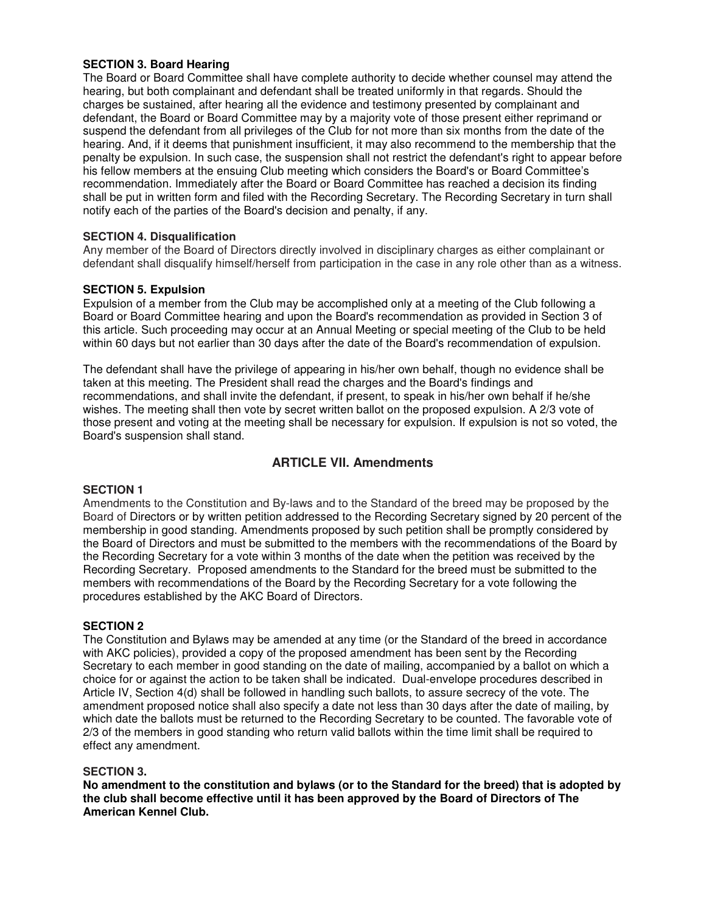#### **SECTION 3. Board Hearing**

The Board or Board Committee shall have complete authority to decide whether counsel may attend the hearing, but both complainant and defendant shall be treated uniformly in that regards. Should the charges be sustained, after hearing all the evidence and testimony presented by complainant and defendant, the Board or Board Committee may by a majority vote of those present either reprimand or suspend the defendant from all privileges of the Club for not more than six months from the date of the hearing. And, if it deems that punishment insufficient, it may also recommend to the membership that the penalty be expulsion. In such case, the suspension shall not restrict the defendant's right to appear before his fellow members at the ensuing Club meeting which considers the Board's or Board Committee's recommendation. Immediately after the Board or Board Committee has reached a decision its finding shall be put in written form and filed with the Recording Secretary. The Recording Secretary in turn shall notify each of the parties of the Board's decision and penalty, if any.

#### **SECTION 4. Disqualification**

Any member of the Board of Directors directly involved in disciplinary charges as either complainant or defendant shall disqualify himself/herself from participation in the case in any role other than as a witness.

#### **SECTION 5. Expulsion**

Expulsion of a member from the Club may be accomplished only at a meeting of the Club following a Board or Board Committee hearing and upon the Board's recommendation as provided in Section 3 of this article. Such proceeding may occur at an Annual Meeting or special meeting of the Club to be held within 60 days but not earlier than 30 days after the date of the Board's recommendation of expulsion.

The defendant shall have the privilege of appearing in his/her own behalf, though no evidence shall be taken at this meeting. The President shall read the charges and the Board's findings and recommendations, and shall invite the defendant, if present, to speak in his/her own behalf if he/she wishes. The meeting shall then vote by secret written ballot on the proposed expulsion. A 2/3 vote of those present and voting at the meeting shall be necessary for expulsion. If expulsion is not so voted, the Board's suspension shall stand.

### **ARTICLE VII. Amendments**

#### **SECTION 1**

Amendments to the Constitution and By-laws and to the Standard of the breed may be proposed by the Board of Directors or by written petition addressed to the Recording Secretary signed by 20 percent of the membership in good standing. Amendments proposed by such petition shall be promptly considered by the Board of Directors and must be submitted to the members with the recommendations of the Board by the Recording Secretary for a vote within 3 months of the date when the petition was received by the Recording Secretary. Proposed amendments to the Standard for the breed must be submitted to the members with recommendations of the Board by the Recording Secretary for a vote following the procedures established by the AKC Board of Directors.

#### **SECTION 2**

The Constitution and Bylaws may be amended at any time (or the Standard of the breed in accordance with AKC policies), provided a copy of the proposed amendment has been sent by the Recording Secretary to each member in good standing on the date of mailing, accompanied by a ballot on which a choice for or against the action to be taken shall be indicated. Dual-envelope procedures described in Article IV, Section 4(d) shall be followed in handling such ballots, to assure secrecy of the vote. The amendment proposed notice shall also specify a date not less than 30 days after the date of mailing, by which date the ballots must be returned to the Recording Secretary to be counted. The favorable vote of 2/3 of the members in good standing who return valid ballots within the time limit shall be required to effect any amendment.

#### **SECTION 3.**

**No amendment to the constitution and bylaws (or to the Standard for the breed) that is adopted by the club shall become effective until it has been approved by the Board of Directors of The American Kennel Club.**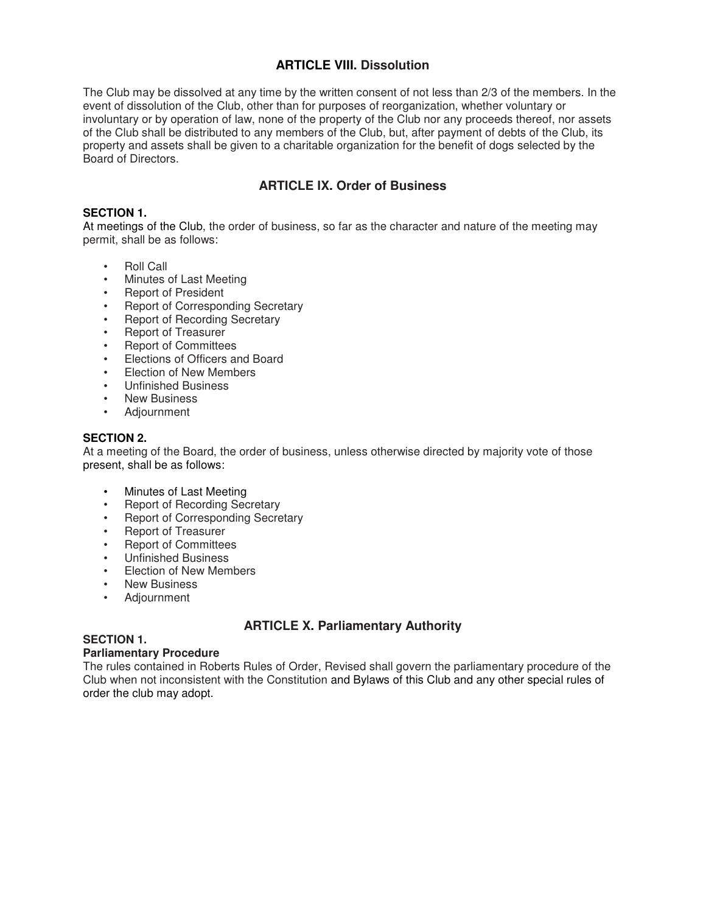### **ARTICLE VIII. Dissolution**

The Club may be dissolved at any time by the written consent of not less than 2/3 of the members. In the event of dissolution of the Club, other than for purposes of reorganization, whether voluntary or involuntary or by operation of law, none of the property of the Club nor any proceeds thereof, nor assets of the Club shall be distributed to any members of the Club, but, after payment of debts of the Club, its property and assets shall be given to a charitable organization for the benefit of dogs selected by the Board of Directors.

### **ARTICLE IX. Order of Business**

#### **SECTION 1.**

At meetings of the Club, the order of business, so far as the character and nature of the meeting may permit, shall be as follows:

- Roll Call
- Minutes of Last Meeting
- Report of President
- Report of Corresponding Secretary
- Report of Recording Secretary
- Report of Treasurer
- Report of Committees
- Elections of Officers and Board
- Election of New Members
- Unfinished Business
- New Business
- Adjournment

#### **SECTION 2.**

At a meeting of the Board, the order of business, unless otherwise directed by majority vote of those present, shall be as follows:

- Minutes of Last Meeting<br>• Beport of Becording Soc
- Report of Recording Secretary
- Report of Corresponding Secretary
- Report of Treasurer
- Report of Committees
- Unfinished Business
- Election of New Members
- New Business
- Adjournment

### **ARTICLE X. Parliamentary Authority**

#### **SECTION 1.**

### **Parliamentary Procedure**

The rules contained in Roberts Rules of Order, Revised shall govern the parliamentary procedure of the Club when not inconsistent with the Constitution and Bylaws of this Club and any other special rules of order the club may adopt.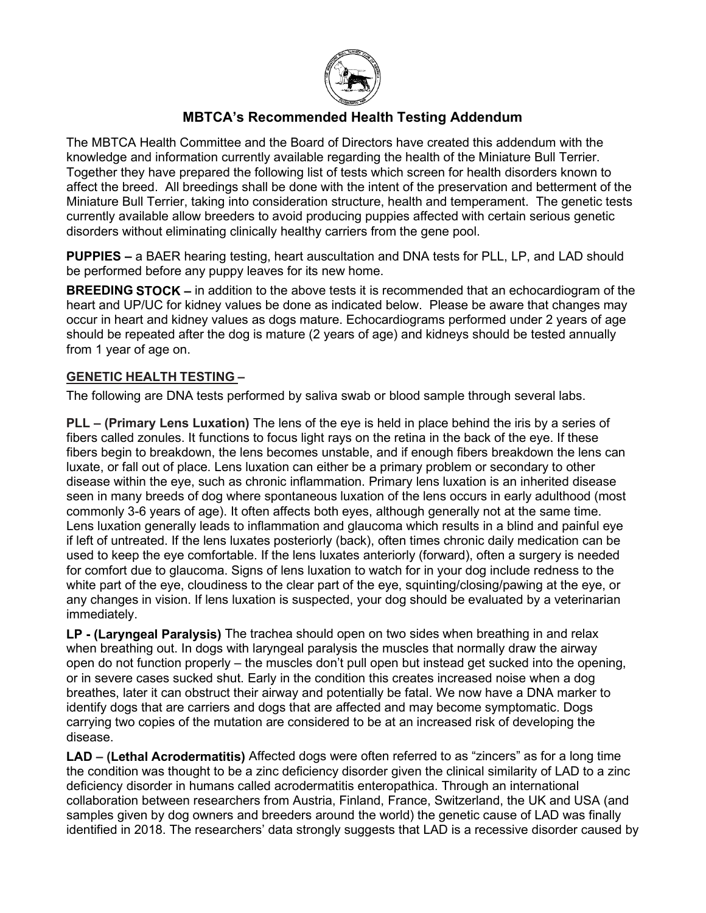

# **MBTCA's Recommended Health Testing Addendum**

The MBTCA Health Committee and the Board of Directors have created this addendum with the knowledge and information currently available regarding the health of the Miniature Bull Terrier. Together they have prepared the following list of tests which screen for health disorders known to affect the breed. All breedings shall be done with the intent of the preservation and betterment of the Miniature Bull Terrier, taking into consideration structure, health and temperament. The genetic tests currently available allow breeders to avoid producing puppies affected with certain serious genetic disorders without eliminating clinically healthy carriers from the gene pool.

**PUPPIES –** a BAER hearing testing, heart auscultation and DNA tests for PLL, LP, and LAD should be performed before any puppy leaves for its new home.

**BREEDING STOCK –** in addition to the above tests it is recommended that an echocardiogram of the heart and UP/UC for kidney values be done as indicated below. Please be aware that changes may occur in heart and kidney values as dogs mature. Echocardiograms performed under 2 years of age should be repeated after the dog is mature (2 years of age) and kidneys should be tested annually from 1 year of age on.

### **GENETIC HEALTH TESTING –**

The following are DNA tests performed by saliva swab or blood sample through several labs.

**PLL – (Primary Lens Luxation)** The lens of the eye is held in place behind the iris by a series of fibers called zonules. It functions to focus light rays on the retina in the back of the eye. If these fibers begin to breakdown, the lens becomes unstable, and if enough fibers breakdown the lens can luxate, or fall out of place. Lens luxation can either be a primary problem or secondary to other disease within the eye, such as chronic inflammation. Primary lens luxation is an inherited disease seen in many breeds of dog where spontaneous luxation of the lens occurs in early adulthood (most commonly 3-6 years of age). It often affects both eyes, although generally not at the same time. Lens luxation generally leads to inflammation and glaucoma which results in a blind and painful eye if left of untreated. If the lens luxates posteriorly (back), often times chronic daily medication can be used to keep the eye comfortable. If the lens luxates anteriorly (forward), often a surgery is needed for comfort due to glaucoma. Signs of lens luxation to watch for in your dog include redness to the white part of the eye, cloudiness to the clear part of the eye, squinting/closing/pawing at the eye, or any changes in vision. If lens luxation is suspected, your dog should be evaluated by a veterinarian immediately.

**LP - (Laryngeal Paralysis)** The trachea should open on two sides when breathing in and relax when breathing out. In dogs with laryngeal paralysis the muscles that normally draw the airway open do not function properly – the muscles don't pull open but instead get sucked into the opening, or in severe cases sucked shut. Early in the condition this creates increased noise when a dog breathes, later it can obstruct their airway and potentially be fatal. We now have a DNA marker to identify dogs that are carriers and dogs that are affected and may become symptomatic. Dogs carrying two copies of the mutation are considered to be at an increased risk of developing the disease.

**LAD – (Lethal Acrodermatitis)** Affected dogs were often referred to as "zincers" as for a long time the condition was thought to be a zinc deficiency disorder given the clinical similarity of LAD to a zinc deficiency disorder in humans called acrodermatitis enteropathica. Through an international collaboration between researchers from Austria, Finland, France, Switzerland, the UK and USA (and samples given by dog owners and breeders around the world) the genetic cause of LAD was finally identified in 2018. The researchers' data strongly suggests that LAD is a recessive disorder caused by